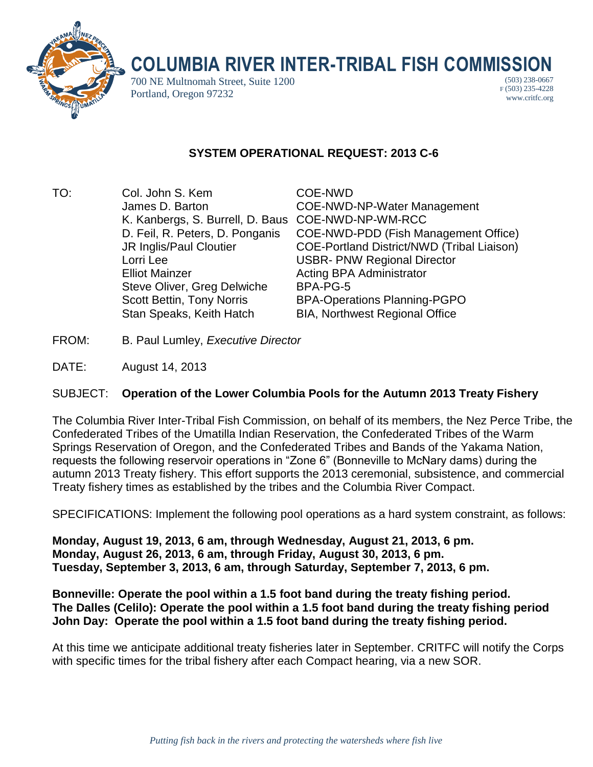

# **COLUMBIA RIVER INTER-TRIBAL FISH COMMISSION**

700 NE Multnomah Street, Suite 1200 Portland, Oregon 97232

(503) 238-0667 F (503) 235-4228 www.critfc.org

# **SYSTEM OPERATIONAL REQUEST: 2013 C-6**

TO: Col. John S. Kem COE-NWD K. Kanbergs, S. Burrell, D. Baus COE-NWD-NP-WM-RCC Lorri Lee USBR- PNW Regional Director **Elliot Mainzer Communistrator Communistrator** Acting BPA Administrator Steve Oliver, Greg Delwiche BPA-PG-5 Stan Speaks, Keith Hatch BIA, Northwest Regional Office

James D. Barton COE-NWD-NP-Water Management D. Feil, R. Peters, D. Ponganis COE-NWD-PDD (Fish Management Office) JR Inglis/Paul Cloutier COE-Portland District/NWD (Tribal Liaison) Scott Bettin, Tony Norris BPA-Operations Planning-PGPO

- FROM: B. Paul Lumley, *Executive Director*
- DATE: August 14, 2013

## SUBJECT: **Operation of the Lower Columbia Pools for the Autumn 2013 Treaty Fishery**

The Columbia River Inter-Tribal Fish Commission, on behalf of its members, the Nez Perce Tribe, the Confederated Tribes of the Umatilla Indian Reservation, the Confederated Tribes of the Warm Springs Reservation of Oregon, and the Confederated Tribes and Bands of the Yakama Nation, requests the following reservoir operations in "Zone 6" (Bonneville to McNary dams) during the autumn 2013 Treaty fishery. This effort supports the 2013 ceremonial, subsistence, and commercial Treaty fishery times as established by the tribes and the Columbia River Compact.

SPECIFICATIONS: Implement the following pool operations as a hard system constraint, as follows:

**Monday, August 19, 2013, 6 am, through Wednesday, August 21, 2013, 6 pm. Monday, August 26, 2013, 6 am, through Friday, August 30, 2013, 6 pm. Tuesday, September 3, 2013, 6 am, through Saturday, September 7, 2013, 6 pm.**

### **Bonneville: Operate the pool within a 1.5 foot band during the treaty fishing period. The Dalles (Celilo): Operate the pool within a 1.5 foot band during the treaty fishing period John Day: Operate the pool within a 1.5 foot band during the treaty fishing period.**

At this time we anticipate additional treaty fisheries later in September. CRITFC will notify the Corps with specific times for the tribal fishery after each Compact hearing, via a new SOR.